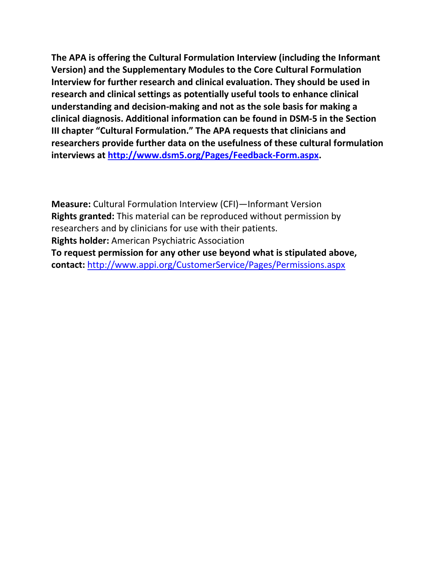**The APA is offering the Cultural Formulation Interview (including the Informant Version) and the Supplementary Modules to the Core Cultural Formulation Interview for further research and clinical evaluation. They should be used in research and clinical settings as potentially useful tools to enhance clinical understanding and decision-making and not as the sole basis for making a clinical diagnosis. Additional information can be found in DSM-5 in the Section III chapter "Cultural Formulation." The APA requests that clinicians and researchers provide further data on the usefulness of these cultural formulation interviews at [http://www.dsm5.org/Pages/Feedback-Form.aspx.](http://www.dsm5.org/Pages/Feedback-Form.aspx)**

**Measure:** Cultural Formulation Interview (CFI)—Informant Version **Rights granted:** This material can be reproduced without permission by researchers and by clinicians for use with their patients. **Rights holder:** American Psychiatric Association **To request permission for any other use beyond what is stipulated above, contact:** <http://www.appi.org/CustomerService/Pages/Permissions.aspx>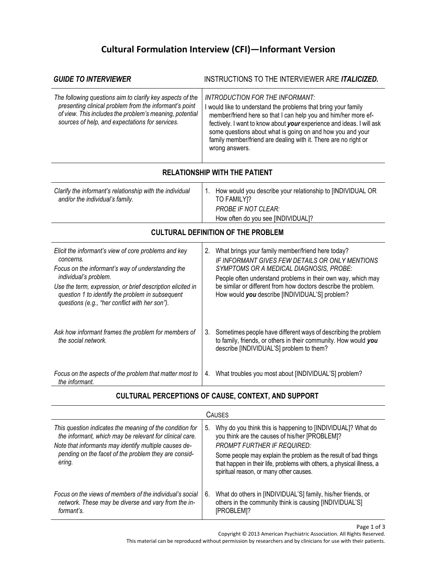## **Cultural Formulation Interview (CFI)—Informant Version**

| <b>GUIDE TO INTERVIEWER</b>                                                                                                                                                                                                                                                                                         | INSTRUCTIONS TO THE INTERVIEWER ARE ITALICIZED.                                                                                                                                                                                                                                                                                                                                                        |  |  |
|---------------------------------------------------------------------------------------------------------------------------------------------------------------------------------------------------------------------------------------------------------------------------------------------------------------------|--------------------------------------------------------------------------------------------------------------------------------------------------------------------------------------------------------------------------------------------------------------------------------------------------------------------------------------------------------------------------------------------------------|--|--|
| The following questions aim to clarify key aspects of the<br>presenting clinical problem from the informant's point<br>of view. This includes the problem's meaning, potential<br>sources of help, and expectations for services.                                                                                   | <b>INTRODUCTION FOR THE INFORMANT:</b><br>I would like to understand the problems that bring your family<br>member/friend here so that I can help you and him/her more ef-<br>fectively. I want to know about your experience and ideas. I will ask<br>some questions about what is going on and how you and your<br>family member/friend are dealing with it. There are no right or<br>wrong answers. |  |  |
|                                                                                                                                                                                                                                                                                                                     | <b>RELATIONSHIP WITH THE PATIENT</b>                                                                                                                                                                                                                                                                                                                                                                   |  |  |
| Clarify the informant's relationship with the individual<br>and/or the individual's family.                                                                                                                                                                                                                         | 1. How would you describe your relationship to [INDIVIDUAL OR<br>TO FAMILY]?<br>PROBE IF NOT CLEAR:<br>How often do you see [INDIVIDUAL]?                                                                                                                                                                                                                                                              |  |  |
| <b>CULTURAL DEFINITION OF THE PROBLEM</b>                                                                                                                                                                                                                                                                           |                                                                                                                                                                                                                                                                                                                                                                                                        |  |  |
| Elicit the informant's view of core problems and key<br>concerns.<br>Focus on the informant's way of understanding the<br>individual's problem.<br>Use the term, expression, or brief description elicited in<br>question 1 to identify the problem in subsequent<br>questions (e.g., "her conflict with her son"). | 2. What brings your family member/friend here today?<br>IF INFORMANT GIVES FEW DETAILS OR ONLY MENTIONS<br>SYMPTOMS OR A MEDICAL DIAGNOSIS, PROBE:<br>People often understand problems in their own way, which may<br>be similar or different from how doctors describe the problem.<br>How would you describe [INDIVIDUAL'S] problem?                                                                 |  |  |
| Ask how informant frames the problem for members of<br>the social network.                                                                                                                                                                                                                                          | Sometimes people have different ways of describing the problem<br>3.<br>to family, friends, or others in their community. How would you<br>describe [INDIVIDUAL'S] problem to them?                                                                                                                                                                                                                    |  |  |
| Focus on the aspects of the problem that matter most to<br>the informant.                                                                                                                                                                                                                                           | 4. What troubles you most about [INDIVIDUAL'S] problem?                                                                                                                                                                                                                                                                                                                                                |  |  |
| CULTURAL PERCEPTIONS OF CAUSE, CONTEXT, AND SUPPORT                                                                                                                                                                                                                                                                 |                                                                                                                                                                                                                                                                                                                                                                                                        |  |  |
|                                                                                                                                                                                                                                                                                                                     | <b>CAUSES</b>                                                                                                                                                                                                                                                                                                                                                                                          |  |  |
| This question indicates the meaning of the condition for<br>the informant, which may be relevant for clinical care.<br>Note that informants may identify multiple causes de-                                                                                                                                        | Why do you think this is happening to [INDIVIDUAL]? What do<br>5.<br>you think are the causes of his/her [PROBLEM]?<br>PROMPT FURTHER IF REQUIRED:                                                                                                                                                                                                                                                     |  |  |

| pending on the facet of the problem they are consid-<br>ering. | Some people may explain the problem as the result of bad things<br>that happen in their life, problems with others, a physical illness, a<br>spiritual reason, or many other causes. |
|----------------------------------------------------------------|--------------------------------------------------------------------------------------------------------------------------------------------------------------------------------------|
|----------------------------------------------------------------|--------------------------------------------------------------------------------------------------------------------------------------------------------------------------------------|

*Focus on the views of members of the individual's social network. These may be diverse and vary from the informant's.* 6. What do others in [INDIVIDUAL'S] family, his/her friends, or others in the community think is causing [INDIVIDUAL'S] [PROBLEM]?

Copyright © 2013 American Psychiatric Association. All Rights Reserved.

This material can be reproduced without permission by researchers and by clinicians for use with their patients.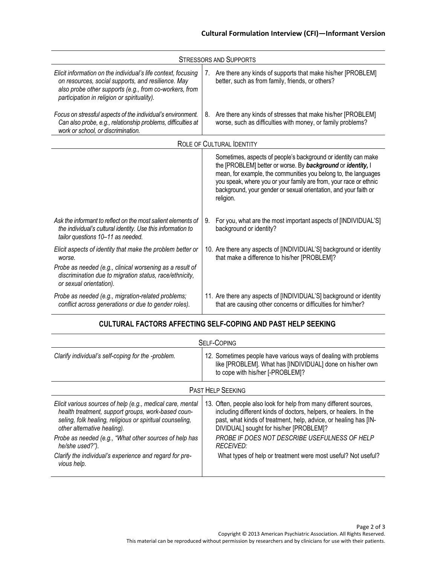| <b>STRESSORS AND SUPPORTS</b>                                                                                                                                                                                                |             |                                                                                                                                                                                                                                                                                                                                                        |
|------------------------------------------------------------------------------------------------------------------------------------------------------------------------------------------------------------------------------|-------------|--------------------------------------------------------------------------------------------------------------------------------------------------------------------------------------------------------------------------------------------------------------------------------------------------------------------------------------------------------|
| Elicit information on the individual's life context, focusing<br>on resources, social supports, and resilience. May<br>also probe other supports (e.g., from co-workers, from<br>participation in religion or spirituality). | $7_{\cdot}$ | Are there any kinds of supports that make his/her [PROBLEM]<br>better, such as from family, friends, or others?                                                                                                                                                                                                                                        |
| Focus on stressful aspects of the individual's environment.<br>Can also probe, e.g., relationship problems, difficulties at<br>work or school, or discrimination.                                                            | 8.          | Are there any kinds of stresses that make his/her [PROBLEM]<br>worse, such as difficulties with money, or family problems?                                                                                                                                                                                                                             |
| <b>ROLE OF CULTURAL IDENTITY</b>                                                                                                                                                                                             |             |                                                                                                                                                                                                                                                                                                                                                        |
|                                                                                                                                                                                                                              |             | Sometimes, aspects of people's background or identity can make<br>the [PROBLEM] better or worse. By background or identity, I<br>mean, for example, the communities you belong to, the languages<br>you speak, where you or your family are from, your race or ethnic<br>background, your gender or sexual orientation, and your faith or<br>religion. |
| Ask the informant to reflect on the most salient elements of<br>the individual's cultural identity. Use this information to<br>tailor questions 10-11 as needed.                                                             | 9.          | For you, what are the most important aspects of [INDIVIDUAL'S]<br>background or identity?                                                                                                                                                                                                                                                              |
| Elicit aspects of identity that make the problem better or<br>worse.<br>Probe as needed (e.g., clinical worsening as a result of<br>discrimination due to migration status, race/ethnicity,<br>or sexual orientation).       |             | 10. Are there any aspects of [INDIVIDUAL'S] background or identity<br>that make a difference to his/her [PROBLEM]?                                                                                                                                                                                                                                     |
| Probe as needed (e.g., migration-related problems;<br>conflict across generations or due to gender roles).                                                                                                                   |             | 11. Are there any aspects of [INDIVIDUAL'S] background or identity<br>that are causing other concerns or difficulties for him/her?                                                                                                                                                                                                                     |

| <b>SELF-COPING</b>                                                                                                                                                                                                                                                                                                                                                 |                                                                                                                                                                                                                                                                                                                                                                                      |  |
|--------------------------------------------------------------------------------------------------------------------------------------------------------------------------------------------------------------------------------------------------------------------------------------------------------------------------------------------------------------------|--------------------------------------------------------------------------------------------------------------------------------------------------------------------------------------------------------------------------------------------------------------------------------------------------------------------------------------------------------------------------------------|--|
| Clarify individual's self-coping for the -problem.                                                                                                                                                                                                                                                                                                                 | 12. Sometimes people have various ways of dealing with problems<br>like [PROBLEM]. What has [INDIVIDUAL] done on his/her own<br>to cope with his/her [-PROBLEM]?                                                                                                                                                                                                                     |  |
| <b>PAST HELP SEEKING</b>                                                                                                                                                                                                                                                                                                                                           |                                                                                                                                                                                                                                                                                                                                                                                      |  |
| Elicit various sources of help (e.g., medical care, mental<br>health treatment, support groups, work-based coun-<br>seling, folk healing, religious or spiritual counseling,<br>other alternative healing).<br>Probe as needed (e.g., "What other sources of help has<br>he/she used?").<br>Clarify the individual's experience and regard for pre-<br>vious help. | 13. Often, people also look for help from many different sources,<br>including different kinds of doctors, helpers, or healers. In the<br>past, what kinds of treatment, help, advice, or healing has [IN-<br>DIVIDUAL] sought for his/her [PROBLEM]?<br>PROBE IF DOES NOT DESCRIBE USEFULNESS OF HELP<br>RECEIVED:<br>What types of help or treatment were most useful? Not useful? |  |

## **CULTURAL FACTORS AFFECTING SELF-COPING AND PAST HELP SEEKING**